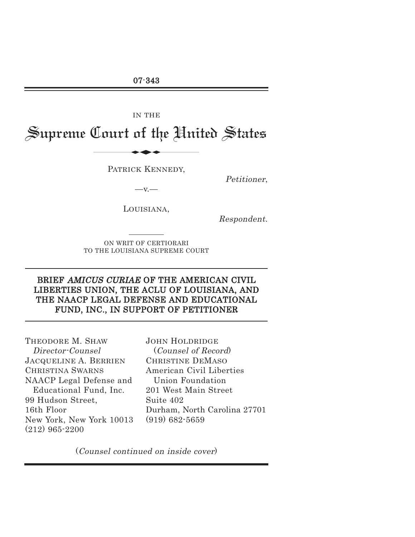07-343

IN THE

Supreme Court of the United States IN THE

PATRICK KENNEDY,

Petitioner,

LOUISIANA,

 $-v.$ —

Respondent.

ON WRIT OF CERTIORARI TO THE LOUISIANA SUPREME COURT

## BRIEF AMICUS CURIAE OF THE AMERICAN CIVIL LIBERTIES UNION, THE ACLU OF LOUISIANA, AND THE NAACP LEGAL DEFENSE AND EDUCATIONAL FUND, INC., IN SUPPORT OF PETITIONER

THEODORE M. SHAW Director-Counsel JACQUELINE A. BERRIEN CHRISTINA SWARNS NAACP Legal Defense and Educational Fund, Inc. 99 Hudson Street, 16th Floor New York, New York 10013 (212) 965-2200

JOHN HOLDRIDGE (Counsel of Record) CHRISTINE DEMASO American Civil Liberties Union Foundation 201 West Main Street Suite 402 Durham, North Carolina 27701 (919) 682-5659

(Counsel continued on inside cover)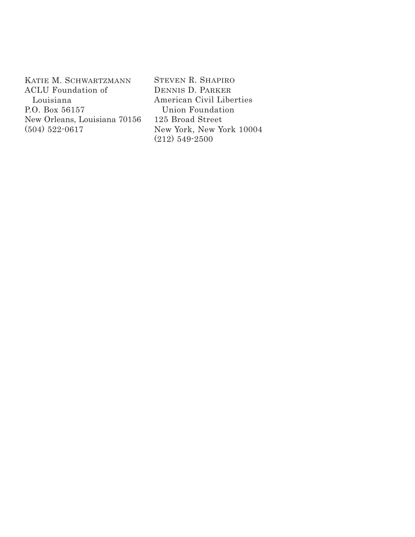KATIE M. SCHWARTZMANN ACLU Foundation of Louisiana P.O. Box 56157 New Orleans, Louisiana 70156 (504) 522-0617

STEVEN R. SHAPIRO DENNIS D. PARKER American Civil Liberties Union Foundation 125 Broad Street New York, New York 10004 (212) 549-2500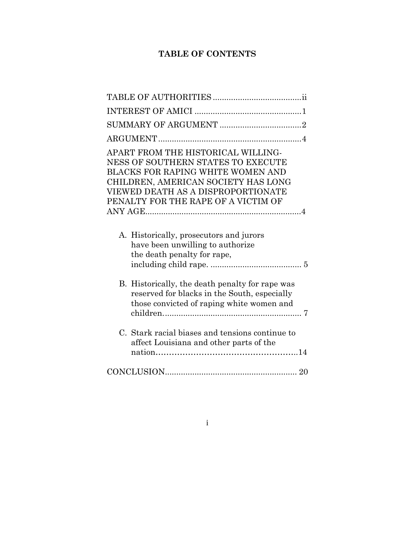# **TABLE OF CONTENTS**

i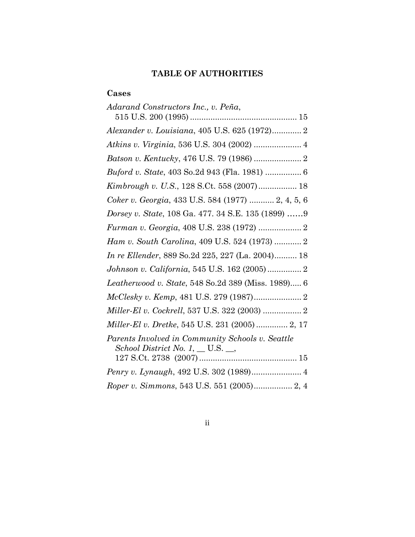# **TABLE OF AUTHORITIES**

## **Cases**

| Adarand Constructors Inc., v. Peña,                                                           |
|-----------------------------------------------------------------------------------------------|
| Alexander v. Louisiana, 405 U.S. 625 (1972) 2                                                 |
| Atkins v. Virginia, 536 U.S. 304 (2002)  4                                                    |
|                                                                                               |
| Buford v. State, 403 So.2d 943 (Fla. 1981)  6                                                 |
| Kimbrough v. U.S., 128 S.Ct. 558 (2007) 18                                                    |
| Coker v. Georgia, 433 U.S. 584 (1977)  2, 4, 5, 6                                             |
| Dorsey v. State, 108 Ga. 477. 34 S.E. 135 (1899) 9                                            |
| Furman v. Georgia, 408 U.S. 238 (1972)  2                                                     |
| Ham v. South Carolina, 409 U.S. 524 (1973)  2                                                 |
| In re Ellender, 889 So.2d 225, 227 (La. 2004) 18                                              |
| Johnson v. California, 545 U.S. 162 (2005) 2                                                  |
| Leatherwood v. State, 548 So.2d 389 (Miss. 1989) 6                                            |
|                                                                                               |
| Miller-El v. Cockrell, 537 U.S. 322 (2003)  2                                                 |
| Miller-El v. Dretke, 545 U.S. 231 (2005)  2, 17                                               |
| Parents Involved in Community Schools v. Seattle<br>School District No. 1, $\_\_$ U.S. $\_\_$ |
| Penry v. Lynaugh, 492 U.S. 302 (1989) 4                                                       |
| Roper v. Simmons, 543 U.S. 551 (2005) 2, 4                                                    |

ii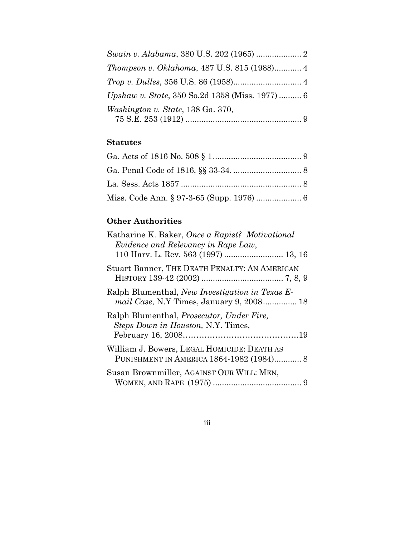| Thompson v. Oklahoma, 487 U.S. 815 (1988) 4    |  |
|------------------------------------------------|--|
|                                                |  |
| Upshaw v. State, 350 So.2d 1358 (Miss. 1977) 6 |  |
| Washington v. State, 138 Ga. 370,              |  |
|                                                |  |

## **Statutes**

# **Other Authorities**

| Katharine K. Baker, Once a Rapist? Motivational<br>Evidence and Relevancy in Rape Law,<br>110 Harv. L. Rev. 563 (1997)  13, 16 |
|--------------------------------------------------------------------------------------------------------------------------------|
| Stuart Banner, THE DEATH PENALTY: AN AMERICAN                                                                                  |
| Ralph Blumenthal, New Investigation in Texas E-<br><i>mail Case</i> , N.Y Times, January 9, 2008 18                            |
| Ralph Blumenthal, <i>Prosecutor</i> , <i>Under Fire</i> ,<br><i>Steps Down in Houston, N.Y. Times,</i>                         |
| William J. Bowers, LEGAL HOMICIDE: DEATH AS<br>PUNISHMENT IN AMERICA 1864-1982 (1984) 8                                        |
| Susan Brownmiller, AGAINST OUR WILL: MEN,                                                                                      |

iii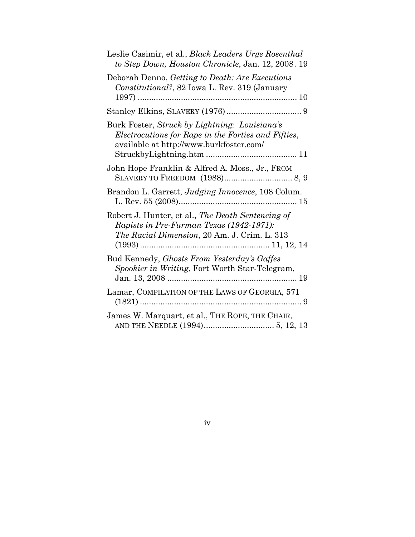| Leslie Casimir, et al., Black Leaders Urge Rosenthal<br>to Step Down, Houston Chronicle, Jan. 12, 2008. 19                                      |
|-------------------------------------------------------------------------------------------------------------------------------------------------|
| Deborah Denno, Getting to Death: Are Executions<br>Constitutional?, 82 Iowa L. Rev. 319 (January                                                |
|                                                                                                                                                 |
| Burk Foster, Struck by Lightning: Louisiana's<br>Electrocutions for Rape in the Forties and Fifties,<br>available at http://www.burkfoster.com/ |
| John Hope Franklin & Alfred A. Moss., Jr., FROM                                                                                                 |
| Brandon L. Garrett, Judging Innocence, 108 Colum.<br>L. Rev. 55 (2008)                                                                          |
| Robert J. Hunter, et al., The Death Sentencing of<br>Rapists in Pre-Furman Texas (1942-1971):<br>The Racial Dimension, 20 Am. J. Crim. L. 313   |
| Bud Kennedy, Ghosts From Yesterday's Gaffes<br>Spookier in Writing, Fort Worth Star-Telegram,                                                   |
| Lamar, COMPILATION OF THE LAWS OF GEORGIA, 571                                                                                                  |
| James W. Marquart, et al., THE ROPE, THE CHAIR,                                                                                                 |

## iv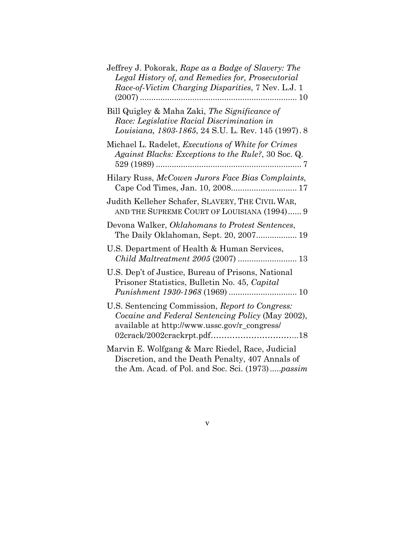| Jeffrey J. Pokorak, Rape as a Badge of Slavery: The<br>Legal History of, and Remedies for, Prosecutorial<br>Race-of-Victim Charging Disparities, 7 Nev. L.J. 1 |
|----------------------------------------------------------------------------------------------------------------------------------------------------------------|
| Bill Quigley & Maha Zaki, The Significance of<br>Race: Legislative Racial Discrimination in<br>Louisiana, 1803-1865, 24 S.U. L. Rev. 145 (1997). 8             |
| Michael L. Radelet, <i>Executions of White for Crimes</i><br>Against Blacks: Exceptions to the Rule?, 30 Soc. Q.                                               |
| Hilary Russ, McCowen Jurors Face Bias Complaints,                                                                                                              |
| Judith Kelleher Schafer, SLAVERY, THE CIVIL WAR,<br>AND THE SUPREME COURT OF LOUISIANA (1994) 9                                                                |
| Devona Walker, Oklahomans to Protest Sentences,<br>The Daily Oklahoman, Sept. 20, 2007 19                                                                      |
| U.S. Department of Health & Human Services,                                                                                                                    |
| U.S. Dep't of Justice, Bureau of Prisons, National<br>Prisoner Statistics, Bulletin No. 45, Capital                                                            |
| U.S. Sentencing Commission, Report to Congress:<br>Cocaine and Federal Sentencing Policy (May 2002),<br>available at http://www.ussc.gov/r_congress/           |
| Marvin E. Wolfgang & Marc Riedel, Race, Judicial<br>Discretion, and the Death Penalty, 407 Annals of<br>the Am. Acad. of Pol. and Soc. Sci. (1973)passim       |

v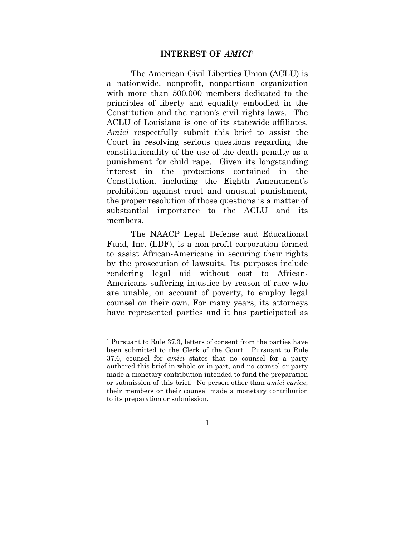### **INTEREST OF** *AMICI***<sup>1</sup>**

 The American Civil Liberties Union (ACLU) is a nationwide, nonprofit, nonpartisan organization with more than 500,000 members dedicated to the principles of liberty and equality embodied in the Constitution and the nation's civil rights laws. The ACLU of Louisiana is one of its statewide affiliates. *Amici* respectfully submit this brief to assist the Court in resolving serious questions regarding the constitutionality of the use of the death penalty as a punishment for child rape. Given its longstanding interest in the protections contained in the Constitution, including the Eighth Amendment's prohibition against cruel and unusual punishment, the proper resolution of those questions is a matter of substantial importance to the ACLU and its members.

 The NAACP Legal Defense and Educational Fund, Inc. (LDF), is a non-profit corporation formed to assist African-Americans in securing their rights by the prosecution of lawsuits. Its purposes include rendering legal aid without cost to African-Americans suffering injustice by reason of race who are unable, on account of poverty, to employ legal counsel on their own. For many years, its attorneys have represented parties and it has participated as

 $\overline{a}$ 

<sup>1</sup> Pursuant to Rule 37.3, letters of consent from the parties have been submitted to the Clerk of the Court. Pursuant to Rule 37.6, counsel for *amici* states that no counsel for a party authored this brief in whole or in part, and no counsel or party made a monetary contribution intended to fund the preparation or submission of this brief. No person other than *amici curiae,*  their members or their counsel made a monetary contribution to its preparation or submission.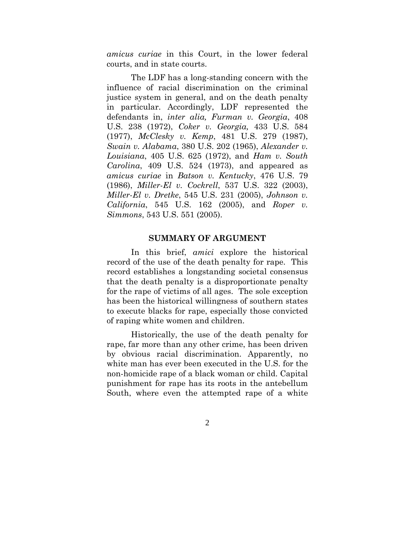*amicus curiae* in this Court, in the lower federal courts, and in state courts.

 The LDF has a long-standing concern with the influence of racial discrimination on the criminal justice system in general, and on the death penalty in particular. Accordingly, LDF represented the defendants in, *inter alia, Furman v. Georgia*, 408 U.S. 238 (1972), *Coker v. Georgia,* 433 U.S. 584 (1977), *McClesky v. Kemp*, 481 U.S. 279 (1987), *Swain v. Alabama*, 380 U.S. 202 (1965), *Alexander v. Louisiana*, 405 U.S. 625 (1972), and *Ham v. South Carolina*, 409 U.S. 524 (1973), and appeared as *amicus curiae* in *Batson v. Kentucky*, 476 U.S. 79 (1986), *Miller-El v. Cockrell*, 537 U.S. 322 (2003), *Miller-El v. Dretke*, 545 U.S. 231 (2005), *Johnson v. California*, 545 U.S. 162 (2005), and *Roper v. Simmons*, 543 U.S. 551 (2005).

#### **SUMMARY OF ARGUMENT**

 In this brief, *amici* explore the historical record of the use of the death penalty for rape. This record establishes a longstanding societal consensus that the death penalty is a disproportionate penalty for the rape of victims of all ages. The sole exception has been the historical willingness of southern states to execute blacks for rape, especially those convicted of raping white women and children.

 Historically, the use of the death penalty for rape, far more than any other crime, has been driven by obvious racial discrimination. Apparently, no white man has ever been executed in the U.S. for the non-homicide rape of a black woman or child. Capital punishment for rape has its roots in the antebellum South, where even the attempted rape of a white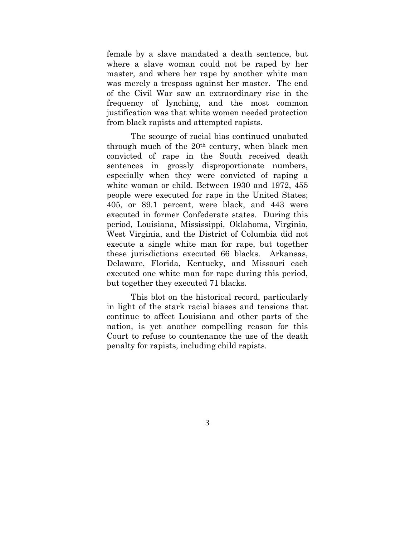female by a slave mandated a death sentence, but where a slave woman could not be raped by her master, and where her rape by another white man was merely a trespass against her master. The end of the Civil War saw an extraordinary rise in the frequency of lynching, and the most common justification was that white women needed protection from black rapists and attempted rapists.

 The scourge of racial bias continued unabated through much of the 20th century, when black men convicted of rape in the South received death sentences in grossly disproportionate numbers, especially when they were convicted of raping a white woman or child. Between 1930 and 1972, 455 people were executed for rape in the United States; 405, or 89.1 percent, were black, and 443 were executed in former Confederate states. During this period, Louisiana, Mississippi, Oklahoma, Virginia, West Virginia, and the District of Columbia did not execute a single white man for rape, but together these jurisdictions executed 66 blacks. Arkansas, Delaware, Florida, Kentucky, and Missouri each executed one white man for rape during this period, but together they executed 71 blacks.

 This blot on the historical record, particularly in light of the stark racial biases and tensions that continue to affect Louisiana and other parts of the nation, is yet another compelling reason for this Court to refuse to countenance the use of the death penalty for rapists, including child rapists.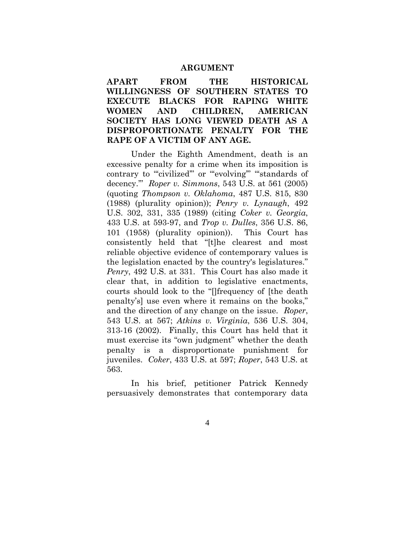#### **ARGUMENT**

**APART FROM THE HISTORICAL WILLINGNESS OF SOUTHERN STATES TO EXECUTE BLACKS FOR RAPING WHITE WOMEN AND CHILDREN, AMERICAN SOCIETY HAS LONG VIEWED DEATH AS A DISPROPORTIONATE PENALTY FOR THE RAPE OF A VICTIM OF ANY AGE.** 

 Under the Eighth Amendment, death is an excessive penalty for a crime when its imposition is contrary to ""civilized" or ""evolving" "standards of decency.'" *Roper v. Simmons*, 543 U.S. at 561 (2005) (quoting *Thompson v. Oklahoma*, 487 U.S. 815, 830 (1988) (plurality opinion)); *Penry v. Lynaugh*, 492 U.S. 302, 331, 335 (1989) (citing *Coker v. Georgia*, 433 U.S. at 593-97, and *Trop v. Dulles*, 356 U.S. 86, 101 (1958) (plurality opinion)). This Court has consistently held that "[t]he clearest and most reliable objective evidence of contemporary values is the legislation enacted by the country's legislatures." *Penry*, 492 U.S. at 331. This Court has also made it clear that, in addition to legislative enactments, courts should look to the "[]frequency of [the death penalty's] use even where it remains on the books," and the direction of any change on the issue. *Roper*, 543 U.S. at 567; *Atkins v. Virginia*, 536 U.S. 304, 313-16 (2002). Finally, this Court has held that it must exercise its "own judgment" whether the death penalty is a disproportionate punishment for juveniles. *Coker*, 433 U.S. at 597; *Roper*, 543 U.S. at 563.

 In his brief, petitioner Patrick Kennedy persuasively demonstrates that contemporary data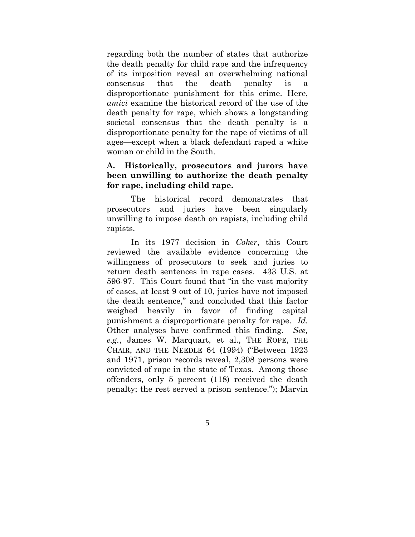regarding both the number of states that authorize the death penalty for child rape and the infrequency of its imposition reveal an overwhelming national consensus that the death penalty is a disproportionate punishment for this crime. Here, *amici* examine the historical record of the use of the death penalty for rape, which shows a longstanding societal consensus that the death penalty is a disproportionate penalty for the rape of victims of all ages—except when a black defendant raped a white woman or child in the South.

### **A. Historically, prosecutors and jurors have been unwilling to authorize the death penalty for rape, including child rape.**

 The historical record demonstrates that prosecutors and juries have been singularly unwilling to impose death on rapists, including child rapists.

 In its 1977 decision in *Coker*, this Court reviewed the available evidence concerning the willingness of prosecutors to seek and juries to return death sentences in rape cases. 433 U.S. at 596-97. This Court found that "in the vast majority of cases, at least 9 out of 10, juries have not imposed the death sentence," and concluded that this factor weighed heavily in favor of finding capital punishment a disproportionate penalty for rape. *Id.* Other analyses have confirmed this finding. *See, e.g.*, James W. Marquart, et al., THE ROPE, THE CHAIR, AND THE NEEDLE 64 (1994) ("Between 1923 and 1971, prison records reveal, 2,308 persons were convicted of rape in the state of Texas. Among those offenders, only 5 percent (118) received the death penalty; the rest served a prison sentence."); Marvin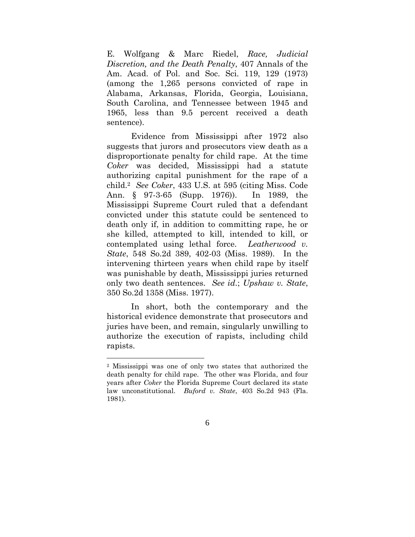E. Wolfgang & Marc Riedel, *Race, Judicial Discretion, and the Death Penalty*, 407 Annals of the Am. Acad. of Pol. and Soc. Sci. 119, 129 (1973) (among the 1,265 persons convicted of rape in Alabama, Arkansas, Florida, Georgia, Louisiana, South Carolina, and Tennessee between 1945 and 1965, less than 9.5 percent received a death sentence).

 Evidence from Mississippi after 1972 also suggests that jurors and prosecutors view death as a disproportionate penalty for child rape. At the time *Coker* was decided, Mississippi had a statute authorizing capital punishment for the rape of a child.2 *See Coker*, 433 U.S. at 595 (citing Miss. Code Ann. § 97-3-65 (Supp. 1976)). In 1989, the Mississippi Supreme Court ruled that a defendant convicted under this statute could be sentenced to death only if, in addition to committing rape, he or she killed, attempted to kill, intended to kill, or contemplated using lethal force. *Leatherwood v. State*, 548 So.2d 389, 402-03 (Miss. 1989). In the intervening thirteen years when child rape by itself was punishable by death, Mississippi juries returned only two death sentences. *See id*.; *Upshaw v. State*, 350 So.2d 1358 (Miss. 1977).

 In short, both the contemporary and the historical evidence demonstrate that prosecutors and juries have been, and remain, singularly unwilling to authorize the execution of rapists, including child rapists.

 $\overline{a}$ 

<sup>2</sup> Mississippi was one of only two states that authorized the death penalty for child rape. The other was Florida, and four years after *Coker* the Florida Supreme Court declared its state law unconstitutional. *Buford v. State*, 403 So.2d 943 (Fla. 1981).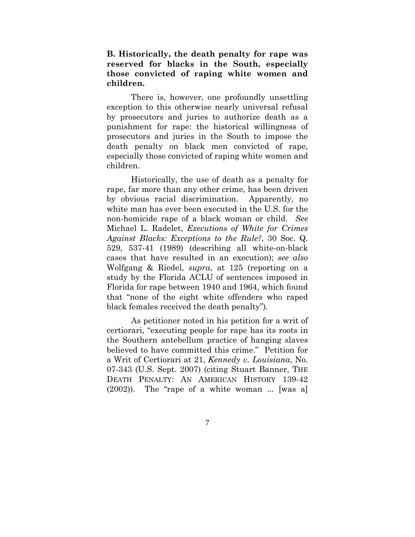**B. Historically, the death penalty for rape was reserved for blacks in the South, especially those convicted of raping white women and children.** 

 There is, however, one profoundly unsettling exception to this otherwise nearly universal refusal by prosecutors and juries to authorize death as a punishment for rape: the historical willingness of prosecutors and juries in the South to impose the death penalty on black men convicted of rape, especially those convicted of raping white women and children.

 Historically, the use of death as a penalty for rape, far more than any other crime, has been driven by obvious racial discrimination. Apparently, no white man has ever been executed in the U.S. for the non-homicide rape of a black woman or child. *See* Michael L. Radelet, *Executions of White for Crimes Against Blacks: Exceptions to the Rule?*, 30 Soc. Q. 529, 537-41 (1989) (describing all white-on-black cases that have resulted in an execution); *see also* Wolfgang & Riedel, *supra*, at 125 (reporting on a study by the Florida ACLU of sentences imposed in Florida for rape between 1940 and 1964, which found that "none of the eight white offenders who raped black females received the death penalty").

 As petitioner noted in his petition for a writ of certiorari, "executing people for rape has its roots in the Southern antebellum practice of hanging slaves believed to have committed this crime." Petition for a Writ of Certiorari at 21, *Kennedy v. Louisiana*, No. 07-343 (U.S. Sept. 2007) (citing Stuart Banner, THE DEATH PENALTY: AN AMERICAN HISTORY 139-42 (2002)). The "rape of a white woman ... [was a]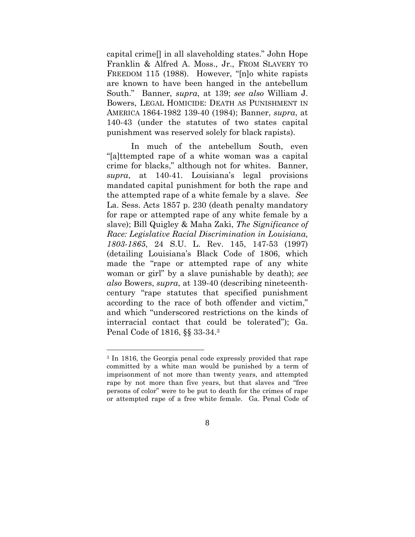capital crime[] in all slaveholding states." John Hope Franklin & Alfred A. Moss., Jr., FROM SLAVERY TO FREEDOM 115 (1988). However, "[n]o white rapists are known to have been hanged in the antebellum South." Banner, *supra*, at 139; *see also* William J. Bowers, LEGAL HOMICIDE: DEATH AS PUNISHMENT IN AMERICA 1864-1982 139-40 (1984); Banner, *supra*, at 140-43 (under the statutes of two states capital punishment was reserved solely for black rapists).

 In much of the antebellum South, even "[a]ttempted rape of a white woman was a capital crime for blacks," although not for whites. Banner, *supra*, at 140-41. Louisiana's legal provisions mandated capital punishment for both the rape and the attempted rape of a white female by a slave. *See* La. Sess. Acts 1857 p. 230 (death penalty mandatory for rape or attempted rape of any white female by a slave); Bill Quigley & Maha Zaki, *The Significance of Race: Legislative Racial Discrimination in Louisiana, 1803-1865*, 24 S.U. L. Rev. 145, 147-53 (1997) (detailing Louisiana's Black Code of 1806, which made the "rape or attempted rape of any white woman or girl" by a slave punishable by death); *see also* Bowers, *supra*, at 139-40 (describing nineteenthcentury "rape statutes that specified punishment according to the race of both offender and victim," and which "underscored restrictions on the kinds of interracial contact that could be tolerated"); Ga. Penal Code of 1816, §§ 33-34.3

 $\overline{a}$ 

<sup>3</sup> In 1816, the Georgia penal code expressly provided that rape committed by a white man would be punished by a term of imprisonment of not more than twenty years, and attempted rape by not more than five years, but that slaves and "free persons of color" were to be put to death for the crimes of rape or attempted rape of a free white female. Ga. Penal Code of

<sup>8</sup>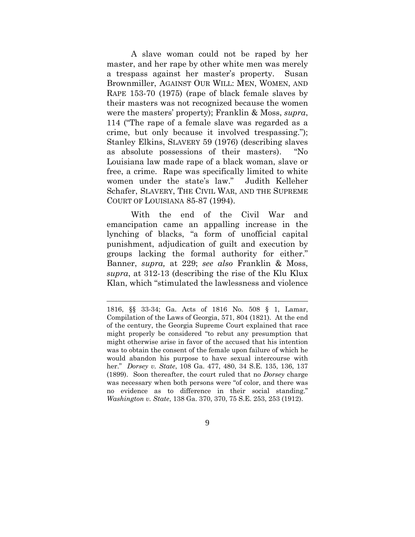A slave woman could not be raped by her master, and her rape by other white men was merely a trespass against her master's property. Susan Brownmiller, AGAINST OUR WILL: MEN, WOMEN, AND RAPE 153-70 (1975) (rape of black female slaves by their masters was not recognized because the women were the masters' property); Franklin & Moss, *supra*, 114 ("The rape of a female slave was regarded as a crime, but only because it involved trespassing."); Stanley Elkins, SLAVERY 59 (1976) (describing slaves as absolute possessions of their masters). "No Louisiana law made rape of a black woman, slave or free, a crime. Rape was specifically limited to white women under the state's law." Judith Kelleher Schafer, SLAVERY, THE CIVIL WAR, AND THE SUPREME COURT OF LOUISIANA 85-87 (1994).

 With the end of the Civil War and emancipation came an appalling increase in the lynching of blacks, "a form of unofficial capital punishment, adjudication of guilt and execution by groups lacking the formal authority for either." Banner, *supra,* at 229; *see also* Franklin & Moss, *supra*, at 312-13 (describing the rise of the Klu Klux Klan, which "stimulated the lawlessness and violence

 $\overline{a}$ 

<sup>1816, §§ 33-34;</sup> Ga. Acts of 1816 No. 508 § 1, Lamar, Compilation of the Laws of Georgia, 571, 804 (1821). At the end of the century, the Georgia Supreme Court explained that race might properly be considered "to rebut any presumption that might otherwise arise in favor of the accused that his intention was to obtain the consent of the female upon failure of which he would abandon his purpose to have sexual intercourse with her." *Dorsey v. State*, 108 Ga. 477, 480, 34 S.E. 135, 136, 137 (1899). Soon thereafter, the court ruled that no *Dorsey* charge was necessary when both persons were "of color, and there was no evidence as to difference in their social standing." *Washington v. State*, 138 Ga. 370, 370, 75 S.E. 253, 253 (1912).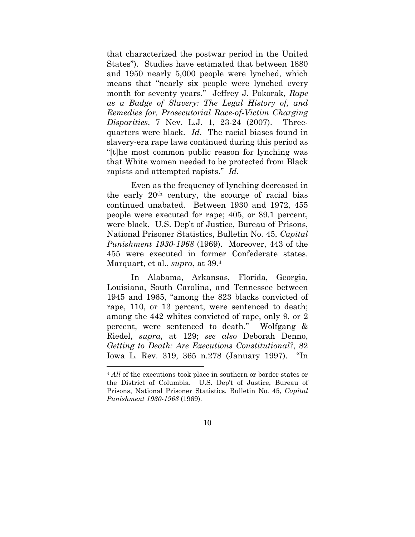that characterized the postwar period in the United States"). Studies have estimated that between 1880 and 1950 nearly 5,000 people were lynched, which means that "nearly six people were lynched every month for seventy years." Jeffrey J. Pokorak, *Rape as a Badge of Slavery: The Legal History of, and Remedies for, Prosecutorial Race-of-Victim Charging Disparities*, 7 Nev. L.J. 1, 23-24 (2007). Threequarters were black. *Id*. The racial biases found in slavery-era rape laws continued during this period as "[t]he most common public reason for lynching was that White women needed to be protected from Black rapists and attempted rapists." *Id.*

 Even as the frequency of lynching decreased in the early 20th century, the scourge of racial bias continued unabated. Between 1930 and 1972, 455 people were executed for rape; 405, or 89.1 percent, were black. U.S. Dep't of Justice, Bureau of Prisons, National Prisoner Statistics, Bulletin No. 45, *Capital Punishment 1930-1968* (1969). Moreover, 443 of the 455 were executed in former Confederate states. Marquart, et al., *supra*, at 39.4

 In Alabama, Arkansas, Florida, Georgia, Louisiana, South Carolina, and Tennessee between 1945 and 1965, "among the 823 blacks convicted of rape, 110, or 13 percent, were sentenced to death; among the 442 whites convicted of rape, only 9, or 2 percent, were sentenced to death." Wolfgang & Riedel, *supra*, at 129; *see also* Deborah Denno, *Getting to Death: Are Executions Constitutional?*, 82 Iowa L. Rev. 319, 365 n.278 (January 1997). "In

1

<sup>4</sup> *All* of the executions took place in southern or border states or the District of Columbia. U.S. Dep't of Justice, Bureau of Prisons, National Prisoner Statistics, Bulletin No. 45, *Capital Punishment 1930-1968* (1969).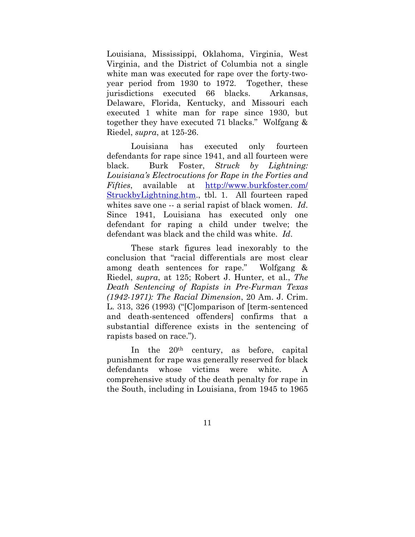Louisiana, Mississippi, Oklahoma, Virginia, West Virginia, and the District of Columbia not a single white man was executed for rape over the forty-twoyear period from 1930 to 1972. Together, these jurisdictions executed 66 blacks. Arkansas, Delaware, Florida, Kentucky, and Missouri each executed 1 white man for rape since 1930, but together they have executed 71 blacks." Wolfgang & Riedel, *supra*, at 125-26.

 Louisiana has executed only fourteen defendants for rape since 1941, and all fourteen were black. Burk Foster, *Struck by Lightning: Louisiana's Electrocutions for Rape in the Forties and Fifties*, available at http://www.burkfoster.com/ StruckbyLightning.htm., tbl. 1. All fourteen raped whites save one -- a serial rapist of black women. *Id*. Since 1941, Louisiana has executed only one defendant for raping a child under twelve; the defendant was black and the child was white. *Id*.

 These stark figures lead inexorably to the conclusion that "racial differentials are most clear among death sentences for rape." Wolfgang & Riedel, *supra*, at 125; Robert J. Hunter, et al., *The Death Sentencing of Rapists in Pre-Furman Texas (1942-1971): The Racial Dimension*, 20 Am. J. Crim. L. 313, 326 (1993) ("[C]omparison of [term-sentenced and death-sentenced offenders] confirms that a substantial difference exists in the sentencing of rapists based on race.").

 In the 20th century, as before, capital punishment for rape was generally reserved for black defendants whose victims were white. A comprehensive study of the death penalty for rape in the South, including in Louisiana, from 1945 to 1965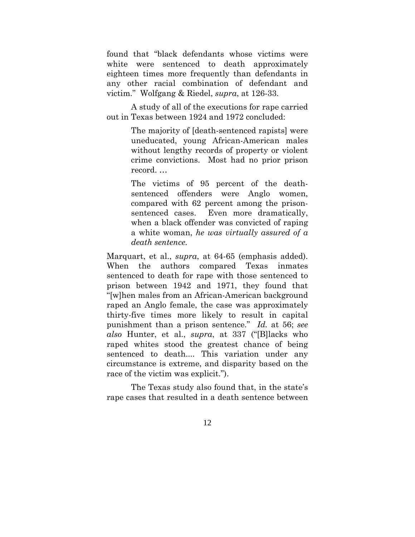found that "black defendants whose victims were white were sentenced to death approximately eighteen times more frequently than defendants in any other racial combination of defendant and victim." Wolfgang & Riedel, *supra*, at 126-33.

A study of all of the executions for rape carried out in Texas between 1924 and 1972 concluded:

> The majority of [death-sentenced rapists] were uneducated, young African-American males without lengthy records of property or violent crime convictions. Most had no prior prison record. …

> The victims of 95 percent of the deathsentenced offenders were Anglo women, compared with 62 percent among the prisonsentenced cases. Even more dramatically, when a black offender was convicted of raping a white woman, *he was virtually assured of a death sentence.*

Marquart, et al., *supra*, at 64-65 (emphasis added). When the authors compared Texas inmates sentenced to death for rape with those sentenced to prison between 1942 and 1971, they found that "[w]hen males from an African-American background raped an Anglo female, the case was approximately thirty-five times more likely to result in capital punishment than a prison sentence." *Id.* at 56; *see also* Hunter, et al., *supra*, at 337 ("[B]lacks who raped whites stood the greatest chance of being sentenced to death.... This variation under any circumstance is extreme, and disparity based on the race of the victim was explicit.").

 The Texas study also found that, in the state's rape cases that resulted in a death sentence between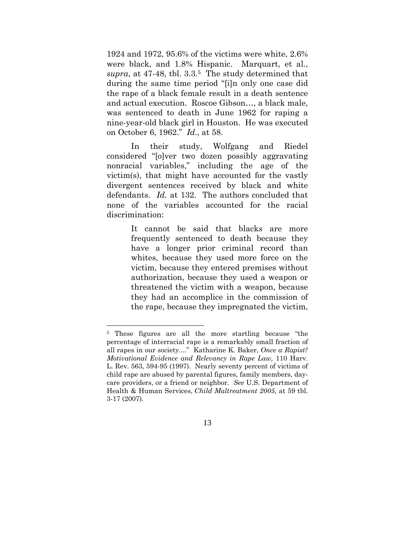1924 and 1972, 95.6% of the victims were white, 2.6% were black, and 1.8% Hispanic. Marquart, et al., *supra*, at 47-48, tbl. 3.3.5 The study determined that during the same time period "[i]n only one case did the rape of a black female result in a death sentence and actual execution. Roscoe Gibson…, a black male, was sentenced to death in June 1962 for raping a nine-year-old black girl in Houston. He was executed on October 6, 1962." *Id*., at 58.

 In their study, Wolfgang and Riedel considered "[o]ver two dozen possibly aggravating nonracial variables," including the age of the victim(s), that might have accounted for the vastly divergent sentences received by black and white defendants. *Id.* at 132. The authors concluded that none of the variables accounted for the racial discrimination:

> It cannot be said that blacks are more frequently sentenced to death because they have a longer prior criminal record than whites, because they used more force on the victim, because they entered premises without authorization, because they used a weapon or threatened the victim with a weapon, because they had an accomplice in the commission of the rape, because they impregnated the victim,

 $\overline{a}$ 



<sup>5</sup> These figures are all the more startling because "the percentage of interracial rape is a remarkably small fraction of all rapes in our society...." Katharine K. Baker, *Once a Rapist? Motivational Evidence and Relevancy in Rape Law,* 110 Harv. L. Rev. 563, 594-95 (1997). Nearly seventy percent of victims of child rape are abused by parental figures, family members, daycare providers, or a friend or neighbor. *See* U.S. Department of Health & Human Services, *Child Maltreatment 2005*, at 59 tbl. 3-17 (2007).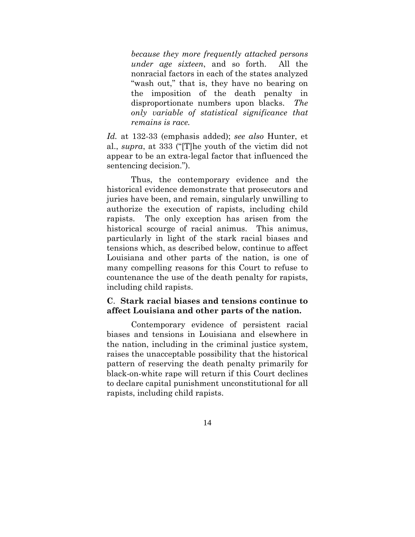*because they more frequently attacked persons under age sixteen*, and so forth. All the nonracial factors in each of the states analyzed "wash out," that is, they have no bearing on the imposition of the death penalty in disproportionate numbers upon blacks. *The only variable of statistical significance that remains is race.*

*Id.* at 132-33 (emphasis added); *see also* Hunter, et al., *supra*, at 333 ("[T]he youth of the victim did not appear to be an extra-legal factor that influenced the sentencing decision.").

 Thus, the contemporary evidence and the historical evidence demonstrate that prosecutors and juries have been, and remain, singularly unwilling to authorize the execution of rapists, including child rapists. The only exception has arisen from the historical scourge of racial animus. This animus, particularly in light of the stark racial biases and tensions which, as described below, continue to affect Louisiana and other parts of the nation, is one of many compelling reasons for this Court to refuse to countenance the use of the death penalty for rapists, including child rapists.

### **C**. **Stark racial biases and tensions continue to affect Louisiana and other parts of the nation.**

 Contemporary evidence of persistent racial biases and tensions in Louisiana and elsewhere in the nation, including in the criminal justice system, raises the unacceptable possibility that the historical pattern of reserving the death penalty primarily for black-on-white rape will return if this Court declines to declare capital punishment unconstitutional for all rapists, including child rapists.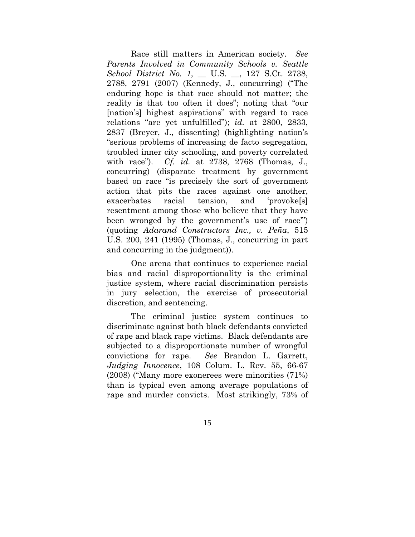Race still matters in American society. *See Parents Involved in Community Schools v. Seattle School District No. 1*, \_\_ U.S. \_\_, 127 S.Ct. 2738, 2788, 2791 (2007) (Kennedy, J., concurring) ("The enduring hope is that race should not matter; the reality is that too often it does"; noting that "our [nation's] highest aspirations" with regard to race relations "are yet unfulfilled"); *id.* at 2800, 2833, 2837 (Breyer, J., dissenting) (highlighting nation's "serious problems of increasing de facto segregation, troubled inner city schooling, and poverty correlated with race"). *Cf. id.* at 2738, 2768 (Thomas, J., concurring) (disparate treatment by government based on race "is precisely the sort of government action that pits the races against one another, exacerbates racial tension, and 'provoke[s] resentment among those who believe that they have been wronged by the government's use of race'") (quoting *Adarand Constructors Inc., v. Peña*, 515 U.S. 200, 241 (1995) (Thomas, J., concurring in part and concurring in the judgment)).

 One arena that continues to experience racial bias and racial disproportionality is the criminal justice system, where racial discrimination persists in jury selection, the exercise of prosecutorial discretion, and sentencing.

 The criminal justice system continues to discriminate against both black defendants convicted of rape and black rape victims. Black defendants are subjected to a disproportionate number of wrongful convictions for rape. *See* Brandon L. Garrett, *Judging Innocence*, 108 Colum. L. Rev. 55, 66-67 (2008) ("Many more exonerees were minorities (71%) than is typical even among average populations of rape and murder convicts. Most strikingly, 73% of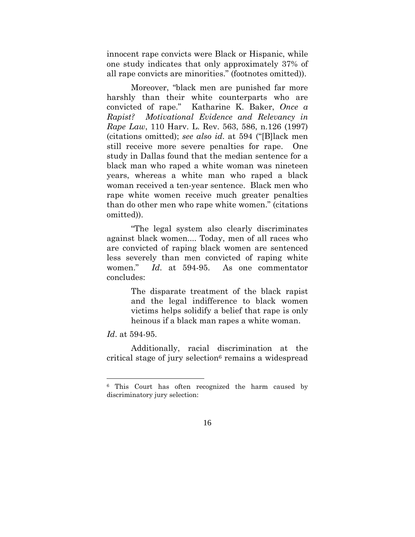innocent rape convicts were Black or Hispanic, while one study indicates that only approximately 37% of all rape convicts are minorities." (footnotes omitted)).

 Moreover, "black men are punished far more harshly than their white counterparts who are convicted of rape." Katharine K. Baker, *Once a Rapist? Motivational Evidence and Relevancy in Rape Law*, 110 Harv. L. Rev. 563, 586, n.126 (1997) (citations omitted); *see also id*. at 594 ("[B]lack men still receive more severe penalties for rape. One study in Dallas found that the median sentence for a black man who raped a white woman was nineteen years, whereas a white man who raped a black woman received a ten-year sentence. Black men who rape white women receive much greater penalties than do other men who rape white women." (citations omitted)).

 "The legal system also clearly discriminates against black women.... Today, men of all races who are convicted of raping black women are sentenced less severely than men convicted of raping white women." *Id*. at 594-95. As one commentator concludes:

> The disparate treatment of the black rapist and the legal indifference to black women victims helps solidify a belief that rape is only heinous if a black man rapes a white woman.

### *Id*. at 594-95.

 $\overline{a}$ 

 Additionally, racial discrimination at the critical stage of jury selection $6$  remains a widespread

<sup>6</sup> This Court has often recognized the harm caused by discriminatory jury selection: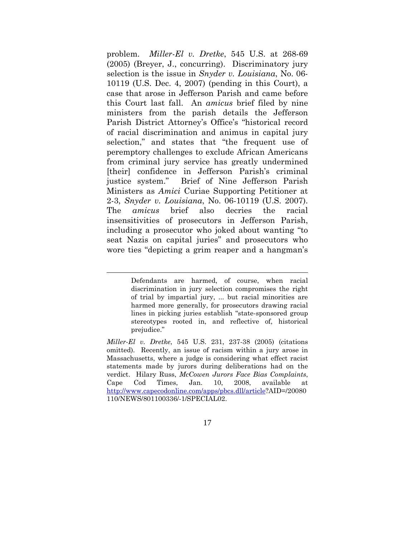problem. *Miller-El v. Dretke*, 545 U.S. at 268-69 (2005) (Breyer, J., concurring). Discriminatory jury selection is the issue in *Snyder v. Louisiana*, No. 06- 10119 (U.S. Dec. 4, 2007) (pending in this Court), a case that arose in Jefferson Parish and came before this Court last fall. An *amicus* brief filed by nine ministers from the parish details the Jefferson Parish District Attorney's Office's "historical record of racial discrimination and animus in capital jury selection," and states that "the frequent use of peremptory challenges to exclude African Americans from criminal jury service has greatly undermined [their] confidence in Jefferson Parish's criminal justice system." Brief of Nine Jefferson Parish Ministers as *Amici* Curiae Supporting Petitioner at 2-3, *Snyder v. Louisiana*, No. 06-10119 (U.S. 2007). The *amicus* brief also decries the racial insensitivities of prosecutors in Jefferson Parish, including a prosecutor who joked about wanting "to seat Nazis on capital juries" and prosecutors who wore ties "depicting a grim reaper and a hangman's

 $\overline{a}$ 

Defendants are harmed, of course, when racial discrimination in jury selection compromises the right of trial by impartial jury, ... but racial minorities are harmed more generally, for prosecutors drawing racial lines in picking juries establish "state-sponsored group stereotypes rooted in, and reflective of, historical prejudice."

*Miller-El v. Dretke*, 545 U.S. 231, 237-38 (2005) (citations omitted). Recently, an issue of racism within a jury arose in Massachusetts, where a judge is considering what effect racist statements made by jurors during deliberations had on the verdict. Hilary Russ, *McCowen Jurors Face Bias Complaints*, Cape Cod Times, Jan. 10, 2008, available at http://www.capecodonline.com/apps/pbcs.dll/article?AID=/20080 110/NEWS/801100336/-1/SPECIAL02.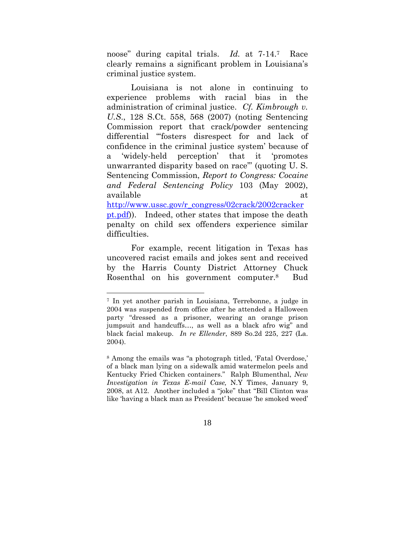noose" during capital trials. *Id.* at 7-14.7 Race clearly remains a significant problem in Louisiana's criminal justice system.

Louisiana is not alone in continuing to experience problems with racial bias in the administration of criminal justice. *Cf. Kimbrough v. U.S*., 128 S.Ct. 558, 568 (2007) (noting Sentencing Commission report that crack/powder sentencing differential "'fosters disrespect for and lack of confidence in the criminal justice system' because of a 'widely-held perception' that it 'promotes unwarranted disparity based on race'" (quoting U. S. Sentencing Commission, *Report to Congress: Cocaine and Federal Sentencing Policy* 103 (May 2002), available at http://www.ussc.gov/r\_congress/02crack/2002cracker pt.pdf)). Indeed, other states that impose the death penalty on child sex offenders experience similar

For example, recent litigation in Texas has uncovered racist emails and jokes sent and received by the Harris County District Attorney Chuck Rosenthal on his government computer.8 Bud

difficulties.

 $\overline{a}$ 

<sup>7</sup> In yet another parish in Louisiana, Terrebonne, a judge in 2004 was suspended from office after he attended a Halloween party "dressed as a prisoner, wearing an orange prison jumpsuit and handcuffs…, as well as a black afro wig" and black facial makeup. *In re Ellender*, 889 So.2d 225, 227 (La. 2004).

<sup>8</sup> Among the emails was "a photograph titled, 'Fatal Overdose,' of a black man lying on a sidewalk amid watermelon peels and Kentucky Fried Chicken containers." Ralph Blumenthal, *New Investigation in Texas E-mail Case,* N.Y Times, January 9, 2008, at A12. Another included a "joke" that "Bill Clinton was like 'having a black man as President' because 'he smoked weed'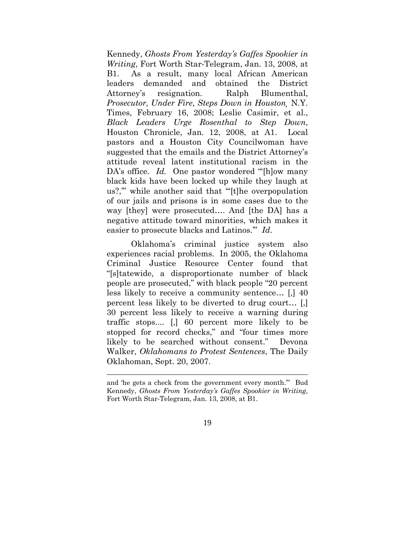Kennedy, *Ghosts From Yesterday's Gaffes Spookier in Writing*, Fort Worth Star-Telegram, Jan. 13, 2008, at B1. As a result, many local African American leaders demanded and obtained the District Attorney's resignation. Ralph Blumenthal, *Prosecutor, Under Fire, Steps Down in Houston¸* N.Y. Times, February 16, 2008; Leslie Casimir, et al., *Black Leaders Urge Rosenthal to Step Down*, Houston Chronicle, Jan. 12, 2008, at A1. Local pastors and a Houston City Councilwoman have suggested that the emails and the District Attorney's attitude reveal latent institutional racism in the DA's office. *Id.* One pastor wondered "[h]ow many black kids have been locked up while they laugh at us?," while another said that "[t]he overpopulation of our jails and prisons is in some cases due to the way [they] were prosecuted…. And [the DA] has a negative attitude toward minorities, which makes it easier to prosecute blacks and Latinos.'" *Id*.

Oklahoma's criminal justice system also experiences racial problems. In 2005, the Oklahoma Criminal Justice Resource Center found that "[s]tatewide, a disproportionate number of black people are prosecuted," with black people "20 percent less likely to receive a community sentence… [,] 40 percent less likely to be diverted to drug court… [,] 30 percent less likely to receive a warning during traffic stops.... [,] 60 percent more likely to be stopped for record checks," and "four times more likely to be searched without consent." Devona Walker, *Oklahomans to Protest Sentences*, The Daily Oklahoman, Sept. 20, 2007.

 $\overline{a}$ 

and 'he gets a check from the government every month.'" Bud Kennedy, *Ghosts From Yesterday's Gaffes Spookier in Writing*, Fort Worth Star-Telegram, Jan. 13, 2008, at B1.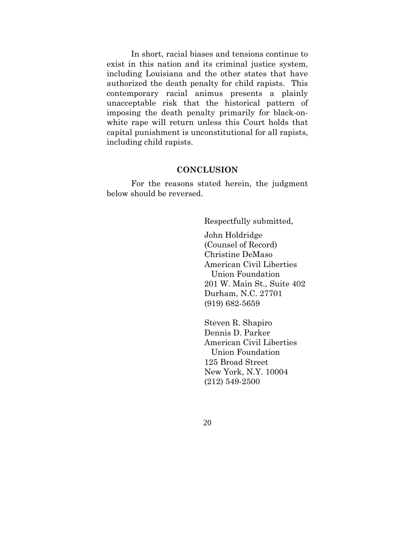In short, racial biases and tensions continue to exist in this nation and its criminal justice system, including Louisiana and the other states that have authorized the death penalty for child rapists. This contemporary racial animus presents a plainly unacceptable risk that the historical pattern of imposing the death penalty primarily for black-onwhite rape will return unless this Court holds that capital punishment is unconstitutional for all rapists, including child rapists.

### **CONCLUSION**

 For the reasons stated herein, the judgment below should be reversed.

Respectfully submitted,

 John Holdridge (Counsel of Record) Christine DeMaso American Civil Liberties Union Foundation 201 W. Main St., Suite 402 Durham, N.C. 27701 (919) 682-5659

 Steven R. Shapiro Dennis D. Parker American Civil Liberties Union Foundation 125 Broad Street New York, N.Y. 10004 (212) 549-2500